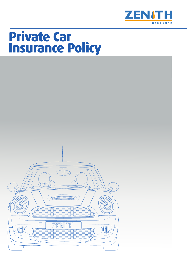

# **Private Car Insurance Policy**

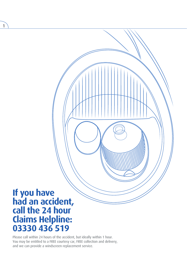# **If you have had an accident, claims Helpline: 03330 436 519**

1

Please call within 24 hours of the accident, but ideally within 1 hour. You may be entitled to a FREE courtesy car, FREE collection and delivery, and we can provide a windscreen replacement service.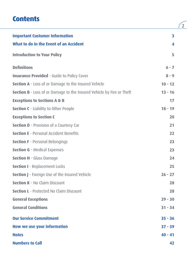## **Contents**

| <b>Important Customer Information</b>                                 | 3         |
|-----------------------------------------------------------------------|-----------|
| What to do in the Event of an Accident                                | 4         |
| <b>Introduction to Your Policy</b>                                    | 5         |
| <b>Definitions</b>                                                    | $6 - 7$   |
| <b>Insurance Provided - Guide to Policy Cover</b>                     | $8 - 9$   |
| Section A - Loss of or Damage to the Insured Vehicle                  | $10 - 12$ |
| Section B - Loss of or Damage to the Insured Vehicle by Fire or Theft | $13 - 16$ |
| <b>Exceptions to Sections A &amp; B</b>                               | 17        |
| <b>Section C</b> - Liability to Other People                          | $18 - 19$ |
| <b>Exceptions to Section C</b>                                        | 20        |
| Section D - Provision of a Courtesy Car                               | 21        |
| <b>Section E</b> - Personal Accident Benefits                         | 22        |
| <b>Section F</b> - Personal Belongings                                | 23        |
| <b>Section G</b> - Medical Expenses                                   | 23        |
| <b>Section H</b> - Glass Damage                                       | 24        |
| <b>Section I</b> - Replacement Locks                                  | 25        |
| <b>Section J</b> - Foreign Use of the Insured Vehicle                 | $26 - 27$ |
| <b>Section K - No Claim Discount</b>                                  | 28        |
| <b>Section L</b> - Protected No Claim Discount                        | 28        |
| <b>General Exceptions</b>                                             | $29 - 30$ |
| <b>General Conditions</b>                                             | $31 - 34$ |
| <b>Our Service Commitment</b>                                         | $35 - 36$ |
| <b>How we use your information</b>                                    | $37 - 39$ |
| <b>Notes</b>                                                          | $40 - 41$ |
| <b>Numbers to Call</b>                                                | 42        |

 $\sqrt{2}$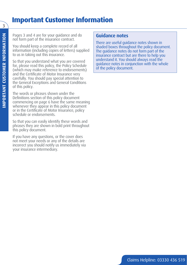## **Important Customer Information**

Pages 3 and 4 are for your guidance and do not form part of the insurance contract.

You should keep a complete record of all information (including copies of letters) supplied to us in taking out this insurance.

So that you understand what you are covered for, please read this policy, the Policy Schedule (which may make reference to endorsements) and the Certificate of Motor Insurance very carefully. You should pay special attention to the General Exceptions and General Conditions of this policy.

The words or phrases shown under the Definitions section of this policy document commencing on page 6 have the same meaning whenever they appear in this policy document or in the Certificate of Motor Insurance, policy schedule or endorsements.

So that you can easily identify these words and phrases they are shown in bold print throughout this policy document.

If you have any questions, or the cover does not meet your needs or any of the details are incorrect you should notify us immediately via your insurance intermediary.

### **Guidance notes**

There are useful guidance notes shown in shaded boxes throughout the policy document. The guidance notes do not form part of the insurance contract but are there to help you understand it. You should always read the guidance notes in conjunction with the whole of the policy document.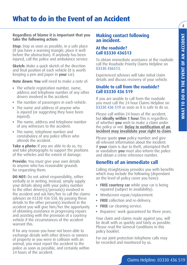4

## **What to do in the Event of an Accident**

#### **Regardless of blame it is important that you take the following action:**

**Stop:** Stop as soon as possible, in a safe place (if you have a warning triangle, place it well before the obstruction). If anybody has been injured, call the police and ambulance service.

**Sketch:** Make a quick sketch of the direction and final position of each vehicle (it is worth keeping a pen and paper in **your** car).

**Note down: You** will need to make a note of:

- The vehicle registration number, name, address and telephone number of any other drivers involved in the accident.
- The number of passengers in each vehicle.
- The name and address of anyone who is injured (or suggesting they have been injured).
- The name, address and telephone number of any witnesses to the accident.
- The name, telephone number and constabulary of any police officer who attends the accident.

**Take a photo:** If you are able to do so, try and take photographs to support the positions of the vehicles and the extent of damage.

**Provide:** You must give your own details to anyone who has reasonable grounds for requesting them.

**DO NOT:** Do not admit responsibility, either verbally or in writing. Instead, simply supply your details along with your policy number to the other driver(s)/person(s) involved in the accident and ask him/her to call the claims advisors on 03330 436 558. By passing these details to the other person(s) involved in the accident you will give him/her the opportunity of obtaining assistance in progressing repairs and assisting with the provision of a courtesy vehicle if the circumstances of the accident warrant this.

If for any reason you have not been able to exchange details with other drivers or owners of property or you were in collision with an animal, you must report the accident to the police as soon as possible, and certainly within 24 hours of the accident.

### **Making contact following an incident.**

#### **At the roadside? Call 03330 436513**

To obtain immediate assistance at the roadside call the Roadside Priority Claims Helpline on 03330 436513.

Experienced advisors will take initial claim details and discuss recovery of your vehicle.

#### **Unable to call from the roadside? Call 03330 436 519**

If you are unable to call from the roadside you must call the 24 hour Claims Helpline on 03330 436 519 as soon as it is safe to do so.

Please call within 24 hours of the accident, but **ideally within 1 hour**.This is regardless of whether **you** wish to make a claim under the policy or not. **Delay in notification of an incident may invalidate your right to claim**.

Please quote **your** policy number and give all relevant information about the incident. If **your** claim is due to theft, attempted theft or vandalism **you** must also inform the police and obtain a crime reference number.

### **Benefits of an immediate call**

Calling straightaway provides you with benefits which may include the following (dependant on the level of policy cover you have):

- **FREE courtesy car** while your car is being repaired (subject to availability).
- Windscreen repair/replacement.
- **FREE** collection and re-delivery.
- **FREE** car cleaning service.
- Repairers' work guaranteed for three years.

Your claim and claims made against you, will be dealt with as quickly and fairly as possible. Please read the General Conditions in this policy booklet.

For our joint protection telephone calls may be recorded and monitored by us.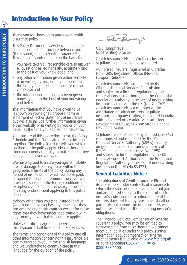## **Introduction to Your Policy**

Thank you for choosing to purchase a Zenith Insurance policy.

This Policy Document is evidence of a legally binding contract of insurance between you (the Insured) and us (Zenith Insurance Plc). This contract is entered into on the basis that:

- you have taken all reasonable care to answer all questions asked honestly, accurately and to the best of your knowledge; and
- any other information given either verbally or in writing by you, or on your behalf at the time you applied for insurance is also complete; and
- the information supplied has been given honestly and to the best of your knowledge and belief.

The information that you have given to us is shown on your signed proposal form or statement of fact or statement of insurance but will also include further information given either verbally or in writing by you or on your behalf at the time you applied for insurance.

You must read this policy document, the Policy Schedule and the Certificate of Motor Insurance together. The Policy Schedule tells you which sections of the policy apply. Please check all three documents carefully to make certain they give you the cover you want.

We have agreed to insure you against liability loss or damage that may occur within the geographical limits of the policy during any period of insurance for which you have paid, or agreed to pay the premium. The cover we provide is subject to the terms, conditions and exceptions contained in this policy document or in any endorsement applying to this policy document.

Nobody other than you (the Insured) and us (Zenith Insurance Plc) has any rights that they can enforce under this contract except for those rights that they have under road traffic law in any country in which this insurance applies.

Unless specifically agreed otherwise, this insurance shall be subject to English Law.

The terms and conditions of this policy and all other information concerning this insurance are communicated to you in the English language and we undertake to communicate in this language for the duration of the policy.

Canphal

Gary Humphreys Underwriting Director

Zenith Insurance Plc and/or its co-insurer St Julians Insurance Company Limited.

Authorised Insurers, registered in Gibraltar No 84085. Registered Office: 846-848, Europort, Gibraltar.

Zenith Insurance Plc is regulated by the Gibraltar Financial Services Commission and subject to a limited regulation by the Financial Conduct Authority and the Prudential Regulation Authority in respect of underwriting insurance business in the UK (No. 211787). Zenith Insurance Plc is a member of the Association of British Insurers. St Julians Insurance Company Limited, registered in Malta with registered office address at 4th Floor, Development House, St Anne Street, Floriana, FRN 9010, Malta.

St Julians Insurance Company Limited (C50869) is authorised and regulated by the Malta Financial Services Authority (MFSA) to carry on general insurance business in terms of the Malta Insurance Business Act, 1998 and subject to limited regulation by the UK Financial Conduct Authority and the Prudential Regulation Authority in respect of underwriting business in the UK (No.534771)

## **Several Liabilities Notice**

The obligations of Zenith Insurance Plc and its co-insurers under contracts of insurance to which they subscribe are several and not joint and are limited solely to the extent of each insurer's individual subscription. If one of the insurers does not for any reason satisfy all or part of its obligations the other insurers will not be responsible for the defaulting insurer's obligations.

The Financial Services Compensation Scheme covers this policy. You may be entitled to compensation from this scheme if we cannot meet our liabilities under this policy. Further information about compensation scheme arrangements is available at www.fscs.org.uk or by telephoning 0207 741 4100 or 0800 678 1100.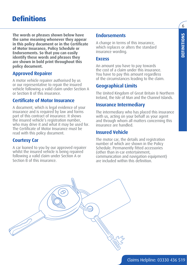## **Definitions**

**The words or phrases shown below have the same meaning whenever they appear in this policy document or in the Certificate of Motor Insurance, Policy Schedule or Endorsements. So that you can easily identify these words and phrases they are shown in bold print throughout this policy document.**

## **Approved Repairer**

A motor vehicle repairer authorised by us or our representative to repair the insured vehicle following a valid claim under Section A or Section B of this insurance.

### **Certificate of Motor Insurance**

A document, which is legal evidence of your insurance and is required by law and forms part of this contract of insurance. It shows the insured vehicle's registration number, who may drive it and what it may be used for. The Certificate of Motor Insurance must be read with this policy document.

### **Courtesy Car**

A car loaned to you by our approved repairer whilst the insured vehicle is being repaired following a valid claim under Section A or Section B of this insurance.

## **Endorsements**

A change in terms of this insurance, which replaces or alters the standard insurance wording.

#### **Excess**

An amount you have to pay towards the cost of a claim under this insurance. You have to pay this amount regardless of the circumstances leading to the claim.

## **Geographical Limits**

The United Kingdom of Great Britain & Northern Ireland, the Isle of Man and the Channel Islands.

### **Insurance Intermediary**

The intermediary who has placed this insurance with us, acting on your behalf as your agent and through whom all matters concerning this insurance are handled.

### **Insured Vehicle**

The motor car, the details and registration number of which are shown in the Policy Schedule. Permanently fitted accessories (other than in-car entertainment, communication and navigation equipment) are included within this definition.

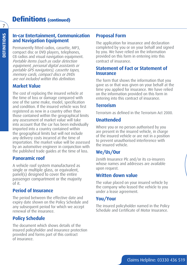### **In-car Entertainment, Communication and Navigation Equipment**

Permanently fitted radios, cassette, MP3, compact disc or DVD players, telephones, CB radios and visual navigation equipment. Portable items (such as radar detection equipment, personal digital assistants or portable GPS navigators), cassette tapes, memory cards, compact discs or DVDs are not included within this definition.

## **Market Value**

The cost of replacing the insured vehicle at the time of loss or damage compared with one of the same make, model, specification and condition. If the insured vehicle was first registered as new in a country other than those contained within the geographical limits any assessment of market value will take into account that the car has been individually imported into a country contained within the geographical limits but will not include any delivery costs incurred at the time of importation. The market value will be assessed by an automotive engineer in conjunction with the published trade guides at the time of loss.

## **Panoramic roof**

A vehicle roof system manufactured as single or multiple glass, or equivalent, panel(s) designed to cover the entire passenger compartment or the majority of it.

## **Period of Insurance**

The period between the effective date and expiry date shown on the Policy Schedule and any subsequent period for which we accept renewal of the insurance.

## **Policy Schedule**

The document which shows details of the insured policyholder and insurance protection provided and forms part of this contract of insurance.

## **Proposal Form**

The application for insurance and declaration completed by you or on your behalf and signed by you. We have relied on the information provided on this form in entering into this contract of insurance.

### **Statement of Fact or Statement of Insurance**

The form that shows the information that you gave us or that was given on your behalf at the time you applied for insurance. We have relied on the information provided on this form in entering into this contract of insurance.

## **Terrorism**

Terrorism as defined in the Terrorism Act 2000.

## **Unattended**

Where you or no person authorised by you are present in the insured vehicle, in charge of the insured vehicle or are not in a position to prevent unauthorised interference with the insured vehicle.

## **We/Us/Our**

Zenith Insurance Plc and/or its co-insurers whose names and addresses are available upon request.

## **Written down value**

The value placed on your insured vehicle by the company who leased the vehicle to you under a lease agreement.

## **You/Your**

The insured policyholder named in the Policy Schedule and Certificate of Motor Insurance.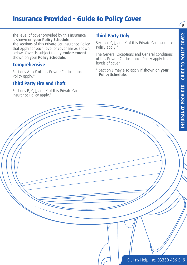## **Insurance Provided - Guide to Policy Cover**

The level of cover provided by this insurance is shown on **your Policy Schedule**. The sections of this Private Car Insurance Policy that apply for each level of cover are as shown below. Cover is subject to any **endorsement** shown on your **Policy Schedule**.

## **Comprehensive**

Sections A to K of this Private Car Insurance Policy apply.\*

## **Third Party Fire and Theft**

Sections B, C, J, and K of this Private Car Insurance Policy apply.\*

## **Third Party Only**

Sections C, J, and K of this Private Car Insurance Policy apply.\*

The General Exceptions and General Conditions of this Private Car Insurance Policy apply to all levels of cover.

\* Section L may also apply if shown on **your Policy Schedule**.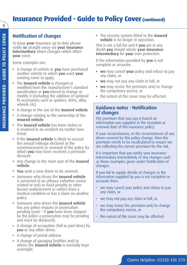## **Insurance Provided - Guide to Policy Cover (continued)**

## **Notification of changes**

To keep **your** insurance up to date please notify **us** straight away via **your insurance intermediary** about changes which affect **your** cover.

Some examples are:

- A change of vehicle or **you** have purchased another vehicle to which **you** want **your** existing cover to apply.
- The **insured vehicle** is changed or modified from the manufacturer's standard specification or **you** intend to change or modify it (including the addition of optional fit accessories such as spoilers, skirts, alloy wheels etc).
- A change in the use of the **insured vehicle**.
- A change relating to the ownership of the **insured vehicle**.
- The **insured vehicle** has been stolen or is involved in an accident no matter how trivial.
- If the **insured vehicle** is likely to exceed the annual mileage declared at the commencement or renewal of the policy for which **you** may have received a premium discount.
- Any change in the main user of the **insured vehicle**.
- **You** wish a new driver to be covered.
- Someone who drives the **insured vehicle** is convicted of an offence (whether motor related or not) or fixed penalty or other licence endorsement or suffers from a medical condition or has a claim on another policy.
- Someone who drives the **insured vehicle** has any police enquiry or prosecution pending (note – if **you** have been stopped by the police a prosecution may be pending and must be disclosed).
- A change of occupation (full or part-time) by **you** or any other driver.
- A change of postal address.
- A change of garaging facilities and/or where the **insured vehicle** is normally kept overnight.

• The security system fitted to the **insured vehicle** is no longer in operation.

This is not a full list and if **you** are in any doubt **you** should advise **your insurance intermediary** for **your** own protection.

If the information provided by **you** is not complete or accurate:

- **we** may cancel **your** policy and refuse to pay any claim, or
- **we** may not pay any claim in full, or
- **we** may revise the premium and/or change the compulsory excess, or
- the extent of the cover may be affected.

### **Guidance notes - Notification of changes**

The premium that you pay is based on information you supplied at the inception or renewal date of this insurance policy.

If your circumstances, or the circumstances of any driver covered by this policy change, then the premium needs to be recalculated to ensure we are collecting the correct premium for the risk.

It is important that you notify your insurance intermediary immediately of any changes such as those examples given under Notification of changes.

If you fail to supply details of changes or the information supplied by you is not complete or accurate then:

- we may cancel your policy and refuse to pay any claim, or
- we may not pay any claim in full, or
- we may revise the premium and/or change the compulsory excess, or
- the extent of the cover may be affected.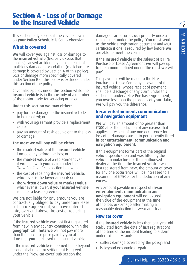$10^{-1}$ 

## **Section A - Loss of or Damage to the Insured Vehicle**

This section only applies if the cover shown on **your Policy Schedule** is Comprehensive.

## **What is covered**

**We** will cover **you** against loss or damage to the **insured vehicle** (less any **excess** that applies) caused accidentally or as a result of malicious damage or vandalism (malicious fire damage is covered by Section A of this policy). Loss or damage more specifically covered under Section B of this policy is excluded under this section of the policy.

Cover also applies under this section while the **insured vehicle** is in the custody of a member of the motor trade for servicing or repair.

#### **Under this section we may either:**

- pay for the damage to the insured vehicle to be repaired; or
- with **your** agreement provide a replacement car; or
- pay an amount of cash equivalent to the loss or damage.

#### **The most we will pay will be either:**

- the **market value** of the **insured vehicle** immediately before the loss; or
- the **market value** of a replacement car if **we** deal with **your** claim under the 'New Car Cover' sub section below, or
- the cost of repairing the **insured vehicle**, whichever is the lower amount; or
- the **written down value** or **market value**, whichever is lower, if **your insured vehicle** is under a lease agreement.

We are not liable for any amount you are contractually obliged to pay under any lease or finance agreement, you have entered into, over and above the cost of replacing your vehicle.

If the **insured vehicle** was not first registered from new in any country contained within the **geographical limits we** will not pay more than the purchase price paid by **you** at the time that **you** purchased the insured vehicle.

If the **insured vehicle** is deemed to be beyond economical repair or settlement is agreed under the 'New car cover' sub-section the

damaged car becomes **our** property once a claim is met under the policy. **You** must send us the vehicle registration document and MOT certificate if one is required by law before **we** are able to meet the claim.

If the **insured vehicle** is the subject of a Hire Purchase or Lease Agreement **we** will pay up to the amount defined under 'the most **we** will pay'.

This payment will be made to the Hire Purchase or Lease Company as owner of the insured vehicle, whose receipt of payment shall be a discharge of any claim under this section. If, under a Hire Purchase Agreement, you owe less than the proceeds of **your** claim, **we** will pay you the difference.

#### **In-car entertainment, communication and navigation equipment**

**We** will pay an amount of no greater than £300 after the deduction of any **excess** that applies in respect of any one occurrence for loss of or damage caused to permanently fitted **in-car entertainment, communication and navigation equipment.**

If this equipment forms part of the original vehicle specification and was fitted by the vehicle manufacturer or their authorised dealer at the time the **insured vehicle** was first registered from new, the amount of cover for any one occurrence will be increased to a maximum of £750 after the deduction of any **excess**.

Any amount payable in respect of **in-car entertainment, communication and navigation equipment** will not exceed the value of the equipment at the time of the loss or damage after making a reasonable deduction for wear and tear.

#### **New car cover**

If the **insured vehicle** is less than one year old (calculated from the date of first registration) at the time of the incident leading to a claim under this policy, and:

- suffers damage covered by the policy; and
- is beyond economical repair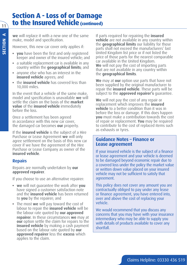## **Section A - Loss of or Damage to the Insured Vehicle (continued)**

**we** will replace it with a new one of the same make, model and specification.

However, this new car cover only applies if:

- **you** have been the first and only registered keeper and owner of the insured vehicle; and
- a suitable replacement car is available in any country within the **geographical limits**; and
- anyone else who has an interest in the **insured vehicle** agrees; and
- the **insured vehicle** has covered less than 10,000 miles.

In the event that a vehicle of the same make, model and specification is unavailable **we** will settle the claim on the basis of the **market value** of the **insured vehicle** immediately before the loss.

Once a settlement has been agreed in accordance with this new car cover, the damaged car becomes **our** property.

If the **insured vehicle** is the subject of a Hire Purchase or Lease Agreement **we** will only agree settlement on the basis of this new car cover if we have the agreement of the Hire Purchase or Lease Company as owner of the **insured vehicle**.

### **Repairs**

Repairs are normally undertaken by **our approved repairer**.

If you choose to use an alternative repairer:

- **we** will not guarantee the work after **you** have signed a customer satisfaction note and the **insured vehicle** has been returned to **you** by the repairer; and
- The most **we** will pay toward the cost of labour to repair the **insured vehicle** will be the labour rate quoted by **our approved repairer**. In these circumstances **we** may at **our** option settle the claim for repairs to the **insured vehicle** by making a cash payment based on the labour rate quoted by **our approved repairer** less the **excess** which applies to the claim.

If parts required for repairing the **insured vehicle** are not available in any country within the **geographical limits** our liability for those parts shall not exceed the manufacturers' last United Kingdom list price or if not listed the price of those parts for the nearest comparable car available in the United Kingdom. **We** will not pay the cost of importing parts that are not available in any country within the **geographical limits**.

**We** may at **our** option use parts that have not been supplied by the original manufacturer to repair the **insured vehicle**. These parts will be subject to the **approved repairer's** guarantee.

**We** will not pay the cost of any repair or replacement which improves the **insured vehicle** to a better condition than it was in before the loss or damage. If this does happen **you** must make a contribution towards the cost of repair or replacement. **You** may be required to contribute to the cost of replaced items such as exhausts or tyres.

#### **Guidance Notes – Finance or Lease agreement**

If your insured vehicle is the subject of a finance or lease agreement and your vehicle is deemed to be damaged beyond economic repair due to a covered loss under the policy the market value or written down value placed on your insured vehicle may not be sufficient to satisfy that agreement.

This policy does not cover any amount you are contractually obliged to pay under any lease or finance agreement, you have entered into, over and above the cost of replacing your vehicle.

We would recommend that you discuss any concerns that you may have with your insurance intermediary who may be able to supply you with details of products available to cover any shortfall.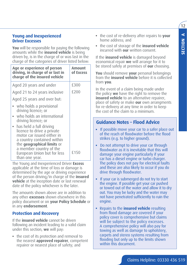#### **Young and Inexperienced Driver Excesses**

**You** will be responsible for paying the following amounts while the **insured vehicle** is being driven by, is in the charge of or was last in the charge of the categories of driver listed below:

| Amount<br>of Excess                   |  |
|---------------------------------------|--|
| £300                                  |  |
| £200<br>Aged 21 to 24 years inclusive |  |
|                                       |  |
|                                       |  |
|                                       |  |
| £150                                  |  |
|                                       |  |

The Young and Inexperienced Driver **Excess** applicable at the time of loss or damage is determined by the age or driving experience of the person driving/in charge of the **insured vehicle** at the inception date or last renewal date of the policy whichever is the later.

The amounts shown above are in addition to any other **excesses** shown elsewhere in this policy document or on **your Policy Schedule** or in any **endorsement**.

#### **Protection and Recovery**

If the **insured vehicle** cannot be driven following an incident leading to a valid claim under this section, **we** will pay:

• the cost of its protection and removal to the nearest **approved repairer**, competent repairer or nearest place of safety; and

- the cost of re-delivery after repairs to **your** home address; and
- the cost of storage of the **insured vehicle** incurred with **our** written consent.

If the **insured vehicle** is damaged beyond economical repair **we** will arrange for it to be stored safely at premises of **our** choosing.

**You** should remove **your** personal belongings from the **insured vehicle** before it is collected from **you**.

In the event of a claim being made under the policy **we** have the right to remove the **insured vehicle** to an alternative repairer, place of safety or make **our** own arrangments for re-delivery at any time in order to keep the cost of the claim to a minimum.

### **Guidance Notes – Flood Advice**

- If possible move your car to a safer place out of the reach of floodwater before the flood strikes (e.g. to higher ground).
- Do not attempt to drive your car through floodwater as it is inevitable that this will damage your engine particularly if your car has a diesel engine or turbo charger. The policy does not pay for electrical faults and these are also likely to occur if you do drive through floodwater.
- If your car is submerged do not try to start the engine. If possible get your car pushed or towed out of the water and allow it to dry out. You may be lucky and the water may not have penetrated sufficiently to ruin the engine.
- Repairs to the **insured vehicle** resulting from flood damage are covered if your policy cover is comprehensive but claims will be subject to the policy excesses. A comprehensive policy will also pay for towing as well as damage to upholstery, carpets and stereo systems resulting from flooding but only up to the limits shown within this document.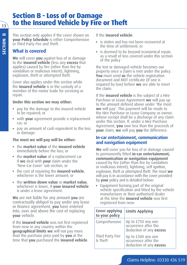## **Section B - Loss of or Damage to the Insured Vehicle by Fire or Theft**

This section only applies if the cover shown on **your Policy Schedule** is either Comprehensive or Third Party Fire and Theft.

## **What is covered**

**We** will cover **you** against loss of or damage to the **insured vehicle** (less any **excess** that applies) caused by fire (other than fire by vandalism or malicious intent), lightning, explosion, theft or attempted theft.

Cover also applies under this section while the **insured vehicle** is in the custody of a member of the motor trade for servicing or repair.

#### **Under this section we may either:**

- pay for the damage to the insured vehicle to be repaired; or
- with **your** agreement provide a replacement car; or
- pay an amount of cash equivalent to the loss or damage.

### **The most we will pay will be either:**

- the **market value** of the **insured vehicle** immediately before the loss; or
- the **market value** of a replacement car if **we** deal with **your** claim under the 'New Car Cover' sub section, or
- the cost of repairing the **insured vehicle**, whichever is the lower amount; or
- the **written down value** or **market value**, whichever is lower, if **your insured vehicle** is under a lease agreement.

**We** are not liable for any amount **you** are contractually obliged to pay under any lease or finance agreement, **you** have entered into, over and above the cost of replacing **your** vehicle.

If the **insured vehicle** was not first registered from new in any country within the **geographical limits we** will not pay more than the purchase price paid by **you** at the time that **you** purchased the **insured vehicle**.

#### If the **insured vehicle**:

- is stolen and has not been recovered at the time of settlement; or
- is deemed to be beyond economical repair, as a result of loss covered under this section of the policy

the lost or damaged vehicle becomes our property once a claim is met under the policy. **You** must send **us** the vehicle registration document and MOT certificate (if one is required by law) before **we** are able to meet the claim.

If the **insured vehicle** is the subject of a Hire Purchase or Lease Agreement **we** will pay up to the amount defined above under 'the most **we** will pay'. This payment will be made to the Hire Purchase or Lease Company as owner, whose receipt shall be a discharge of any claim under this section. If, under a Hire Purchase Agreement, **you** owe less than the proceeds of **your** claim, **we** will pay **you** the difference.

#### **In-car entertainment, communication and navigation equipment**

**We** will cover you for loss of or damage caused to permanently fitted **in-car entertainment, communication or navigation equipment** caused by fire (other than fire by vandalism or malicious intent), lightning, self ignition, explosion, theft or attempted theft. The most **we** will pay is in accordance with the cover provided by **your** policy and is detailed below:

• Equipment forming part of the original vehicle specification and fitted by the vehicle manufacturer or their authorised dealer at the time the **insured vehicle** was first registered from new:

| Cover applying<br>to your policy | <b>Limits Applying</b>                                                |
|----------------------------------|-----------------------------------------------------------------------|
| Comprehensive                    | Up to £750 any one<br>occurrence after the<br>deduction of any excess |
| Third Party Fire<br>& Theft      | Up to £300 any one<br>occurrence after the<br>deduction of any excess |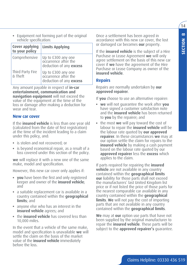$14$ 

• Equipment not forming part of the original vehicle specification:

| Cover applying<br>to your policy | <b>Limits Applying</b>                                                |
|----------------------------------|-----------------------------------------------------------------------|
| Comprehensive                    | Up to £300 any one<br>occurrence after the<br>deduction of any excess |
| Third Party Fire<br>& Theft      | Up to £300 any one<br>occurrence after the<br>deduction of any excess |

Any amount payable in respect of **in-car entertainment, communication and navigation equipment** will not exceed the value of the equipment at the time of the loss or damage after making a deduction for wear and tear.

#### **New car cover**

If the **insured vehicle** is less than one year old (calculated from the date of first registration) at the time of the incident leading to a claim under this policy, and:

- is stolen and not recovered; or
- is beyond economical repair, as a result of a loss covered under this section of the policy.

**we** will replace it with a new one of the same make, model and specification.

However, this new car cover only applies if:

- **you** have been the first and only registered keeper and owner of the **insured vehicle**; and
- a suitable replacement car is available in a country contained within the **geographical limits**; and
- anyone else who has an interest in the **insured vehicle** agrees; and
- the **insured vehicle** has covered less than 10,000 miles.

In the event that a vehicle of the same make, model and specification is unavailable **we** will settle the claim on the basis of the market value of the **insured vehicle** immediately before the loss.

Once a settlement has been agreed in accordance with this new car cover, the lost or damaged car becomes **our** property.

If the **insured vehicle** is the subject of a Hire Purchase or Lease Agreement **we** will only agree settlement on the basis of this new car cover if **we** have the agreement of the Hire Purchase or Lease Company as owner of the **insured vehicle**.

#### **Repairs**

Repairs are normally undertaken by **our approved repairer**.

If **you** choose to use an alternative repairer:

- **we** will not guarantee the work after **you** have signed a customer satisfaction note and the **insured vehicle** has been returned to **you** by the repairer; and
- the most **we** will pay toward the cost of labour to repair the **insured vehicle** will be the labour rate quoted by **our approved repairer**. In these circumstances **we** may at our option settle the claim for repairs to the **insured vehicle** by making a cash payment based on the labour rate quoted by our **approved repairer** less the **excess** which applies to the claim.

If parts required for repairing the **insured vehicle** are not available in any country contained within the **geographical limits our** liability for those parts shall not exceed the manufacturers' last United Kingdom list price or if not listed the price of those parts for the nearest comparable car available in any country contained within the **geographical limits**. **We** will not pay the cost of importing parts that are not available in any country contained within the **geographical limits**.

**We** may at **our** option use parts that have not been supplied by the original manufacturer to repair the **insured vehicle**. These parts will be subject to the **approved repairer's** guarantee.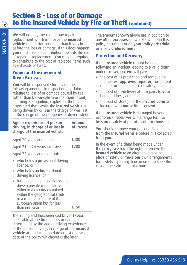## **Section B - Loss of or Damage to the Insured Vehicle by Fire or Theft (continued)**

**We** will not pay the cost of any repair or replacement which improves the **insured vehicle** to a better condition than it was in before the loss or damage. If this does happen **you** must make a contribution towards the cost of repair or replacement. **You** may be required to contribute to the cost of replaced items such as exhausts or tyres.

#### **Young and Inexperienced Driver Excesses**

**You** will be responsible for paying the following amounts in respect of any claim relating to loss of or damage caused by fire (other than by vandalism or malicious intent), lightning, self ignition, explosion, theft or attempted theft while the **insured vehicle** is being driven by or is in the charge or was last in the charge of the categories of driver listed:

| Age or experience of person<br>driving, in charge of or last in<br>charge of the insured vehicle                                                                                                                           | Amount<br>of Excess |
|----------------------------------------------------------------------------------------------------------------------------------------------------------------------------------------------------------------------------|---------------------|
| Aged 20 years and under                                                                                                                                                                                                    | £300                |
| Aged 21 to 24 years inclusive                                                                                                                                                                                              | £200                |
| Aged 25 years and over but:                                                                                                                                                                                                |                     |
| who holds a provisional driving<br>licence; or                                                                                                                                                                             |                     |
| • who holds an international<br>driving licence; or                                                                                                                                                                        |                     |
| • has held a full driving licence to<br>drive a private motor car issued<br>either in a country contained<br>within the geographical limits<br>or a member country of the<br>European Union but for less<br>than one year. | £150                |

The Young and Inexperienced Driver **Excess** applicable at the time of loss or damage is determined by the age or driving experience of the person driving/in charge of the **insured vehicle** at the inception date or last renewal date of the policy whichever is the later.

The amounts shown above are in addition to any other **excesses** shown elsewhere in this policy document or on **your Policy Schedule** or in any **endorsement**.

### **Protection and Recovery**

If the **insured vehicle** cannot be driven following an incident leading to a valid claim under this section, **we** will pay:

- the cost of its protection and removal to the nearest **approved repairer**, competent repairer or nearest place of safety; and
- the cost of re-delivery after repairs to **your** home address; and
- the cost of storage of the **insured vehicle** incurred with **our** written consent.

If the **insured vehicle** is damaged beyond economical repair **we** will arrange for it to be stored safely at premises of **our** choosing.

**You** should remove your personal belongings from the **insured vehicle** before it is collected from **you**.

In the event of a claim being made under the policy, **we** have the right to remove the **insured vehicle** to an alternative repairer, place of safety or make **our** own arrangements for re-delivery at any time in order to keep the cost of the claim to a minimum.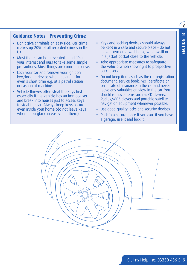$16$ 

### **Guidance Notes - Preventing Crime**

- Don't give criminals an easy ride. Car crime makes up 20% of all recorded crimes in the UK.
- Most thefts can be prevented and it's in your interest and ours to take some simple precautions. Most things are common sense.
- Lock your car and remove your ignition key/locking device when leaving it for even a short time e.g. at a petrol station or cashpoint machine.
- Vehicle thieves often steal the keys first especially if the vehicle has an immobiliser and break into houses just to access keys to steal the car. Always keep keys secure even inside your home (do not leave keys where a burglar can easily find them).
- Keys and locking devices should always be kept in a safe and secure place - do not leave them on a wall hook, windowsill or in a jacket pocket close to the vehicle.
- Take appropriate measures to safeguard the vehicle when showing it to prospective purchasers.
- Do not keep items such as the car registration document, service book, MOT certificate or certificate of insurance in the car and never leave any valuables on view in the car. You should remove items such as CD players, Radios/MP3 players and portable satellite navigation equipment whenever possible.
- Use good-quality locks and security devices.
- Park in a secure place if you can. If you have a garage, use it and lock it.

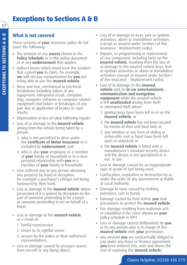## **What is not covered**

These sections of **your** insurance policy do not cover the following:

- The amount of any **excess** shown in the **Policy Schedule** or in this policy document or in any **endorsement** that applies.
- Indirect losses which result from the incident that caused **you** to claim, for example, **we** will not pay compensation for **you** not being able to use the **insured vehicle**.
- Wear and tear, mechanical or electrical breakdown including failure of any equipment, integrated circuit, computer chip, computer software or computer related equipment and failure or breakages of any part due to application of brakes or road shocks.
- Depreciation or loss of value following repairs.
- Loss of or damage to the **insured vehicle** arising from the vehicle being taken by a person:
	- 1. who is not permitted to drive under the **Certificate of Motor Insurance** or is excluded by **endorsement**; and
	- 2. who is also **your** employee or a member of **your** family or household or in a close personal relationship with **you** or a member of **your** family or household.
- Loss suffered due to any person obtaining any property by fraud or deception, for example a purchaser's cheque not being honoured by their bank.
- Loss or damage to the **insured vehicle** where possession of it is gained by deception on the part of someone pretending to be a buyer or someone pretending to act on behalf of a buyer.
- Loss or damage to the **insured vehicle** as a result of:
	- 1. lawful repossession
	- 2. return to its rightful owner
	- 3. seizure by the police or their authorised representatives.
- Loss or damage caused by pressure waves from aircraft or any flying object.
- Loss of or damage to keys, lock or ignition activators, alarm or immobiliser activators (except as insured under Section I of this insurance - Replacement Locks).
- Repairs, re-programming or replacement of any component, including locks on the **insured vehicle**, resulting from the loss of or damage to the insured vehicle keys, lock or ignition activators or alarm or immobiliser activators (except as insured under Section I of this insurance - Replacement Locks).
- Loss of or damage to the **insured vehicle** and/or **in-car entertainment, communication and navigation equipment** while the insured vehicle is left **unattended** arising from theft or attempted theft when:
	- 1. ignition keys have been left in or on the **insured vehicle**; or
	- 2. the **insured vehicle** has not been secured by means of door and boot lock; or
	- 3. any window or any form of sliding or removable roof or hood have been left open or unlocked; or
	- 4. the **insured vehicle** is fitted with a manufacturer's standard security device and the device is not operational or is not in use.
- Loss or damage caused by an inappropriate type or grade of fuel being used.
- Confiscation, requisition or destruction by or under the order of any Government or Public or Local Authority.
- Damage to tyres caused by braking, punctures, cuts or bursts.
- Damage caused by frost unless **you** took precautions to protect the **insured vehicle**.
- Fire damage resulting from malicious acts or vandalism if the cover shown on **your** policy schedule is TPFT.
- Loss or damage caused deliberately by **you** or by any person who is in charge of the **insured vehicle** with **your** permission.
- any amount **you** are contractually obliged to pay under any lease or finance agreement, **you** have entered into, over and above the cost of replacing the **insured vehicle**.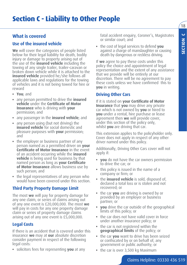$18$ 

 $\cup$ 

**SECTION C**

**SECTION** 

## **What is covered**

### **Use of the insured vehicle**

**We** will cover the categories of people listed below for their legal liability for death, bodily injury or damage to property arising out of the use of the **insured vehicle** including the towing of any single trailer, trailer-caravan or broken down vehicle while it is attached to the **insured vehicle** provided he/she follows all applicable laws and regulations for the towing of vehicles and it is not being towed for hire or reward

- **You**; and
- any person permitted to drive the **insured vehicle** under the **Certificate of Motor Insurance** who is driving with **your** permission; and
- any passenger in the **insured vehicle**; and
- any person using (but not driving) the **insured vehicle** for social domestic and pleasure purposes with **your** permission; and
- the employer or business partner of any person named as a permitted driver on **your Certificate of Motor Insurance** in the event of an accident occurring while the **insured vehicle** is being used for business by that named person as long as **your Certificate of Motor Insurance** allows business use by such person; and
- the legal representatives of any person who would have been covered under this section.

### **Third Party Property Damage Limit**

The most **we** will pay for property damage for any one claim, or series of claims arising out of any one event is £20,000,000. The most **we** will pay in costs for any one property damage claim or series of property damage claims arising out of any one event is £5,000,000.

### **Legal Costs**

If there is an accident that is covered under this insurance **we** may at **our** absolute discretion consider payment in respect of the following legal costs:

• solicitors fees for representing **you** at any

fatal accident enquiry, Coroner's, Magistrates or similar court; and

• the cost of legal services to defend **you** against a charge of manslaughter or causing death by dangerous or reckless driving.

If **we** agree to pay these costs under this policy the choice and appointment of legal representation and the extent of any assistance that we provide will be entirely at our discretion. There will be no agreement to pay these costs unless we have confirmed this to **you** in writing.

### **Driving Other Cars**

If it is stated on **your Certificate of Motor Insurance** that **you** may drive any private car which is not owned by **you** or hired to **you** under a rental, hire purchase or lease agreement then **we** will provide cover, under this section of the policy only, whilst **you** are driving that car.

This extension applies to the policyholder only. Cover does not apply in respect of any other driver named under this policy.

Additionally, Driving Other Cars cover will not apply if:

- **you** do not have the car owners permission to drive the car; or
- this policy is issued in the name of a company or firm; or
- the **insured vehicle** is sold, disposed of, declared a total loss or is stolen and not recovered; or
- the car **you** are driving is owned by or provided by an employer or business partner; or
- **you** drive the car outside of the geographical limits of this policy; or
- the car does not have valid cover in force under another insurance policy; or
- the car is not registered within the **geographical limits** of the policy; or
- the car **you** want to drive has been seized or confiscated by or on behalf of, any government or public authority; or
- the car is over 3,500 kg Maximum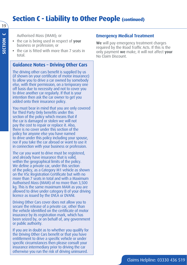## **Section C - Liability to Other People (continued)**

Authorised Mass (MAM); or

- the car is being used in respect of **your** business or profession; or
- the car is fitted with more than 7 seats in total.

#### **Guidance Notes – Driving Other Cars**

The driving other cars benefit is supplied by us (if shown on your certificate of motor insurance) to allow you to drive a car owned by somebody else, with their permission, on a temporary one off basis due to necessity and not to cover you to drive another car regularly. If that is your intention then ask the car owner to get you added onto their insurance policy.

You must bear in mind that you are only covered for Third Party Only benefits under this section of the policy which means that if the car is damaged or stolen we will not pay the cost to repair or replace it. Also, there is no cover under this section of the policy for anyone else you have named to drive under this policy including your spouse, nor if you take the car abroad or want to use it in connection with your business or profession.

The car you want to drive must be registered, and already have insurance that is valid, within the geographical limits of the policy. We define a private car, under this section of the policy, as a Category M1 vehicle as shown on the V5c Registration Certificate but with no more than 7 seats in total and with a Maximum Authorised Mass (MAM) of no more than 3,500 kg. This is the same maximum MAM as you are allowed to drive under category B of your driving licence as issued by the DVLA or DVANI.

Driving Other Cars cover does not allow you to secure the release of a private car, other than the vehicle identified on the certificate of motor insurance by its registration mark, which has been seized by, or on behalf of, any government or public authority.

If you are in doubt as to whether you qualify for the Driving Other Cars benefit or that you have entitlement to drive a specific vehicle or under specific circumstances then please consult your insurance intermediary prior to driving the car otherwise you run the risk of driving uninsured.

#### **Emergency Medical Treatment**

**We** will pay emergency treatment charges required by the Road Traffic Acts. If this is the only payment **we** make, it will not affect **your** No Claim Discount.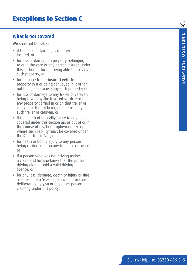## **Exceptions to Section C**

## **What is not covered**

**We** shall not be liable:

- if the person claiming is otherwise insured; or
- for loss or damage to property belonging to or in the care of any person insured under this section or for not being able to use any such property; or
- for damage to the **insured vehicle** or property in it or being conveyed in it or for not being able to use any such property; or
- for loss or damage to any trailer or caravan being towed by the **insured vehicle** or for any property carried in or on that trailer or caravan or for not being able to use any such trailer or caravan; or
- if the death of or bodily injury to any person covered under this section arises out of or in the course of his/her employment except where such liability must be covered under the Road Traffic Acts; or
- for death or bodily injury to any person being carried in or on any trailer or caravan; or
- if a person who was not driving makes a claim and he/she knew that the person driving did not hold a valid driving licence; or
- for any loss, damage, death or injury arising as a result of a 'road rage' incident or caused deliberately by **you** or any other person claiming under this policy.

 $\overline{20}$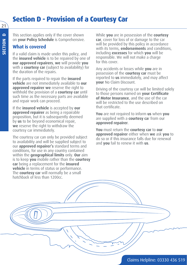## **Section D - Provision of a Courtesy Car**

This section applies only if the cover shown on **your Policy Schedule** is Comprehensive.

## **What is covered**

If a valid claim is made under this policy, and the **insured vehicle** is to be repaired by one of **our approved repairers**, **we** will provide **you** with a **courtesy car** (subject to availability) for the duration of the repairs.

If the parts required to repair the **insured vehicle** are not immediately available to **our approved repairer we** reserve the right to withhold the provision of a **courtesy car** until such time as the necessary parts are available and repair work can proceed.

If the **insured vehicle** is accepted by **our approved repairer** as being a repairable proposition, but it is subsequently deemed by **us** to be beyond economical repair, **we** reserve the right to withdraw the courtesy car immediately.

The courtesy car can only be provided subject to availability and will be supplied subject to our **approved repairer's** standard terms and conditions, for use in any country contained within the **geographical limits** only. **Our** aim is to keep **you** mobile rather than the **courtesy car** being a replacement for the **insured vehicle** in terms of status or performance. The **courtesy car** will normally be a small hatchback of less than 1200cc.

While **you** are in possession of the **courtesy car**, cover for loss of or damage to the car will be provided by this policy in accordance with its terms, **endorsements** and conditions, including **excesses** for which **you** will be responsible. We will not make a charge for this cover.

Any accidents or losses while **you** are in possession of the **courtesy car** must be reported to **us** immediately, and may affect **your** No Claim Discount.

Driving of the courtesy car will be limited solely to those persons named on **your Certificate of Motor Insurance**, and the use of the car will be restricted to the use described on that certificate.

**You** are not required to inform **us** when **you** are supplied with a **courtesy ca**r from our **approved repairer**.

**You** must return the **courtesy car** to **our approved repairer** either when **we** ask **you** to do so or if this insurance falls due for renewal and **you** fail to renew it with **us**.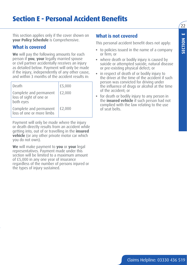## **Section E - Personal Accident Benefits**

This section applies only if the cover shown on **your Policy Schedule** is Comprehensive.

### **What is covered**

**We** will pay the following amounts for each person if **you**, **your** legally married spouse or civil partner accidentally receives an injury as detailed below. Payment will only be made if the injury, independently of any other cause, and within 3 months of the accident results in:

| Death                                                          | £5,000 |
|----------------------------------------------------------------|--------|
| Complete and permanent<br>loss of sight of one or<br>both eyes | £2,000 |
| Complete and permanent<br>loss of one or more limbs            | £2,000 |

Payment will only be made where the injury or death directly results from an accident while getting into, out of or travelling in the **insured vehicle** (or any other private motor car which you do not own).

**We** will make payment to **you** or **your** legal representatives. Payment made under this section will be limited to a maximum amount of £5,000 in any one year of insurance regardless of the number of persons injured or the types of injury sustained.

#### **What is not covered**

This personal accident benefit does not apply:

- to policies issued in the name of a company or firm; or
- where death or bodily injury is caused by suicide or attempted suicide, natural disease or pre-existing physical defect; or
- in respect of death of or bodily injury to the driver at the time of the accident if such person was convicted for driving under the influence of drugs or alcohol at the time of the accident; or
- for death or bodily injury to any person in the **insured vehicle** if such person had not complied with the law relating to the use of seat belts.

 $\mathcal{L}$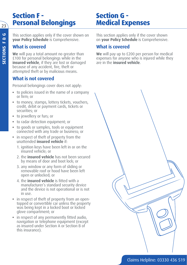## **Section F - Personal Belongings**

## **Section G - Medical Expenses**

This section applies only if the cover shown on **your Policy Schedule** is Comprehensive.

## **What is covered**

**We** will pay a total amount no greater than £100 for personal belongings while in the **insured vehicle**, if they are lost or damaged because of any accident, fire, theft or attempted theft or by malicious means.

## **What is not covered**

Personal belongings cover does not apply:

- to policies issued in the name of a company or firm; or
- to money, stamps, lottery tickets, vouchers, credit, debit or payment cards, tickets or securities; or
- to jewellery or furs; or
- to radar detection equipment; or
- to goods or samples, tools or equipment connected with any trade or business; or
- in respect of theft of property from the unattended **insured vehicle** if:
	- 1. ignition keys have been left in or on the insured vehicle; or
	- 2. the **insured vehicle** has not been secured by means of door and boot lock; or
	- 3. any window or any form of sliding or removable roof or hood have been left open or unlocked; or
	- 4. the **insured vehicle** is fitted with a manufacturer's standard security device and the device is not operational or is not in use.
- in respect of theft of property from an opentopped or convertible car unless the property was being kept in a locked boot or locked glove compartment; or
- in respect of any permanently fitted audio, navigation or telephone equipment (except as insured under Section A or Section B of this insurance).

This section applies only if the cover shown on **your Policy Schedule** is Comprehensive.

## **What is covered**

**We** will pay up to £200 per person for medical expenses for anyone who is injured while they are in the **insured vehicle**.

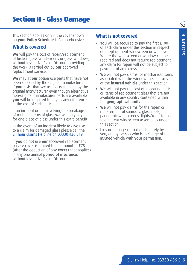This section applies only if the cover shown on **your Policy Schedule** is Comprehensive.

## **What is covered**

**We** will pay the cost of repair/replacement of broken glass windscreens or glass windows, without loss of No Claim Discount providing the work is carried out by **our** approved replacement service.

**We** may at **our** option use parts that have not been supplied by the original manufacturer. If **you** insist that **we** use parts supplied by the original manufacturer even though alternative non-original manufacturer parts are available **you** will be required to pay us any difference in the cost of such parts.

If an incident occurs involving the breakage of multiple items of glass **we** will only pay for one piece of glass under this extra benefit.

In the event of an incident likely to give rise to a claim for damaged glass please call the 24 hour Claims Helpline on 03330 436 519.

If **you** do not use **our** approved replacement service cover is limited to an amount of £75 (after the deduction of any **excess** that applies) in any one annual **period of insurance**, without loss of No Claim Discount.

## **What is not covered**

- **You** will be required to pay the first £100 of each claim under this section in respect of a replacement windscreen or window. Where the windscreen or window can be repaired and does not require replacement, any claim for repair will not be subject to payment of an **excess**.
- **We** will not pay claims for mechanical items associated with the window mechanisms of the **insured vehicle** under this section.
- **We** will not pay the cost of importing parts or items of replacement glass that are not available in any country contained within the **geographical limits**
- **We** will not pay claims for the repair or replacement of sunroofs, glass roofs, panoramic windscreens, lights/reflectors or folding rear windscreen assemblies under this section.
- Loss or damage caused deliberately by you, or any person who is in charge of the insured vehicle with **your** permission.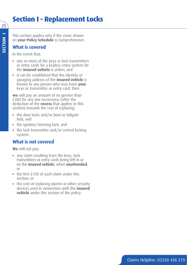## **Section I - Replacement Locks**

This section applies only if the cover shown on **your Policy Schedule** is Comprehensive.

## **What is covered**

In the event that:

- one or more of the keys or lock transmitters or entry cards for a keyless entry system for the **insured vehicle** is stolen; and
- it can be established that the identity or garaging address of the **insured vehicle** is known to any person who may have **your** keys or transmitter or entry card, then

**we** will pay an amount of no greater than £300 for any one occurrence (after the deduction of the **excess** that applies to this section) towards the cost of replacing:

- the door locks and/or boot or tailgate lock; and
- the ignition/steering lock; and
- the lock transmitter and/or central locking system.

## **What is not covered**

**We** will not pay:

- any claim resulting from the keys, lock transmitters or entry cards being left in or on the **insured vehicle**; when **unattended**, or
- the first £150 of each claim under this section; or
- the cost of replacing alarms or other security devices used in connection with the **insured vehicle** under this section of the policy.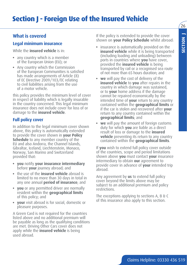## **What is covered**

### **Legal minimum insurance**

While the **insured vehicle** is in:

- any country which is a member of the European Union (EU); or
- Any country which the Commission of the European Communities is satisfied has made arrangements of Article (8) of EC Directive 2009/103/EC relating to civil liabilities arising from the use of a motor vehicle.

this policy provides the minimum level of cover in respect of liability which is legally insurable in the country concerned. This legal minimum insurance does not include cover for loss of or damage to the **insured vehicle**.

### **Full policy cover**

In addition to the legal minimum cover shown above, this policy is automatically extended to provide the cover shown in **your Policy Schedule** to any member country of the EU and also Andorra, the Channel Islands, Gibraltar, Iceland, Liechtenstein, Monaco, Norway, San Marino and Switzerland provided that:

- **you** notify **your insurance intermediary** before **your** journey abroad; and
- the use of the **insured vehicle** abroad is limited to no more than 30 days in total in any one annual **period of insurance**; and
- **you** or any permitted driver are normally resident within the **geographical limits** of this policy; and
- **your** visit abroad is for social, domestic or pleasure purposes.

A Green Card is not required for the countries listed above and no additional premium will be payable as long as the qualifying conditions are met. Driving Other Cars cover does not apply while the **insured vehicle** is being used abroad.

If the policy is extended to provide the cover shown on **your Policy Schedule** whilst abroad:

- insurance is automatically provided on the **insured vehicle** while it is being transported (including loading and unloading) between ports in countries where **you** have cover, provided the **insured vehicle** is being transported by rail or a recognised sea route of not more than 65 hours duration; and
- **we** will pay the cost of delivery of the **insured vehicle** to **you** after repairs in the country in which damage was sustained, or to **your** home address if the damage cannot be repaired economically by the intended time of **your** return to any country contained within the **geographical limits** or if the car is stolen and recovered after **your** return to any country contained within the **geographical limits**; and
- **we** will pay the amount of foreign customs duty for which **you** are liable as a direct result of loss or damage to the **insured vehicle** preventing its return to any country contained within the **geographical limits**.

If **you** wish to extend full policy cover outside of the countries, scope and period limitations shown above **you** must contact **your** insurance intermediary to obtain **our** agreement to provide cover in advance of **your** intended trip abroad.

Any agreement by **us** to extend full policy cover beyond the limits above may be subject to an additional premium and policy restrictions.

The exceptions applying to sections A, B & C of this insurance also apply to this section.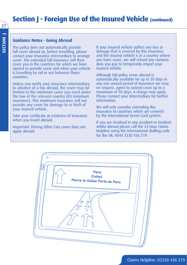## **Section I - Foreign Use of the Insured Vehicle (continued)**

#### **Guidance Notes - Going Abroad**

The policy does not automatically provide full cover abroad so, before travelling, please contact your insurance intermediary to arrange cover. The extended full insurance will then cover you in the countries for which we have agreed to provide cover and when your vehicle is travelling by rail or sea between those countries.

Unless you notify your insurance intermediary in advance of a trip abroad, the cover may be limited to the minimum cover you need under the law of the relevant country (EU minimum insurance). This minimum insurance will not provide any cover for damage to or theft of your insured vehicle.

Take your certificate as evidence of insurance when you travel abroad.

Important: Driving Other Cars cover does not apply abroad.

If your insured vehicle suffers any loss or damage that is covered by this insurance and the insured vehicle is in a country where you have cover, we will refund any customs duty you pay to temporarily import your insured vehicle.

Although full policy cover abroad is automatically available for up to 30 days in any one annual period of insurance we may, on request, agree to extend cover up to a maximum of 90 days. A charge may apply. Please contact your intermediary for further information.

We will only consider extending this insurance to countries which are covered by the International Green Card system.

If you are involved in any accident or incident whilst abroad please call the 24 hour Claims Helpline using the international dialling code for the UK: 0044 3330 436 519.

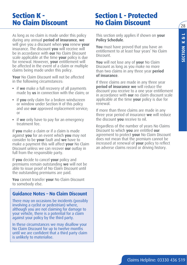$28$ 

## **Section K - No Claim Discount**

## **Section L - Protected No Claim Discount**

As long as no claim is made under this policy during any annual **period of insurance**, **we** will give you a discount when **you** renew **your** insurance. The discount **you** will receive will be in accordance with **our** No Claim Discount scale applicable at the time **your** policy is due for renewal. However, **your** entitlement will be affected in the event of a claim or multiple claims being made under this policy.

**Your** No Claim Discount will not be affected in the following circumstances:

- if **we** make a full recovery of all payments made by **us** in connection with the claim; or
- if **you** only claim for a broken windscreen or window under Section H of this policy and use **our** approved replacement service; or
- if **we** only have to pay for an emergency treatment fee.

If **you** make a claim or if a claim is made against **you** for an event which **you** may not consider to be **your** fault and **we** have to make a payment this will affect **your** No Claim Discount unless we can recover **our** outlay in full from the responsible party.

If **you** decide to cancel **your** policy and premiums remain outstanding **we** will not be able to issue proof of No Claim Discount until the outstanding premiums are paid.

**You** cannot transfer **your** No Claim Discount to somebody else.

### **Guidance Notes – No Claim Discount**

There may on occasions be incidents (possibly involving a cyclist or pedestrian) where, although you are not claiming for damage to your vehicle, there is a potential for a claim against your policy by the third party.

In these circumstances we may disallow your No Claim Discount for up to twelve months until we are confident that a third party claim is unlikely to materialise.

This section only applies if shown on **your Policy Schedule**.

**You** must have proved that you have an entitlement to at least four years' No Claim Discount.

**You** will not lose any of **your** No Claim Discount as long as you make no more than two claims in any three year **period of insurance**.

If three claims are made in any three year **period of insurance we** will reduce the discount you receive to a one year entitlement in accordance with **our** no claim discount scale applicable at the time **your** policy is due for renewal.

If more than three claims are made in any three year period of insurance **we** will reduce the discount **you** receive to nil.

Regardless of the number of years No Claims Discount to which **you** are entitled **our** agreement to protect **your** No Claim Discount does not mean that the premium cannot be increased at renewal of **your** policy to reflect an adverse claims record or driving history.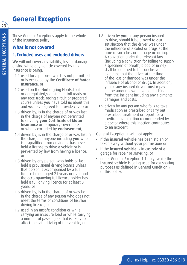## **General Exceptions**

**GENERAL EXCEPTIONS GENERAL EXCEPTIONS**

29

These General Exceptions apply to the whole of the insurance policy.

## **What is not covered**

## **1. Excluded uses and excluded drivers**

**We** will not cover any liability, loss or damage arising while any vehicle covered by this insurance is being:

- 1.1 used for a purpose which is not permitted or is excluded by the **Certificate of Motor Insurance**; or
- 1.2 used on the Nurburgring Nordschleife or deregulated/deristricted toll roads or any race track, racing circuit or prepared course unless **you** have told **us** about this and **we** have agreed to provide cover; or
- 1.3 driven by, is in the charge of or was last in the charge of anyone not permitted to drive by **your Certificate of Motor Insurance** or temporary cover note or who is excluded by **endorsement**; or
- 1.4 driven by, is in the charge of or was last in the charge of anyone including **you** who is disqualified from driving or has never held a licence to drive a vehicle or is prevented by law from having a licence; or
- 1.5 driven by any person who holds or last held a provisional driving licence unless that person is accompanied by a full licence holder aged 21 years or over and the accompanying full licence holder has held a full driving licence for at least 3 years; or
- 1.6 driven by, is in the charge of or was last in the charge of any person who does not meet the terms or conditions of his/her driving licence; or
- 1.7 used in an unsafe condition or while carrying an insecure load or while carrying a number of passengers that is likely to affect the safe driving of the vehicle; or
- 1.8 driven by **you** or any person insured to drive, should it be proved to **our** satisfaction that the driver was under the influence of alcohol or drugs at the time of such loss or damage occurring. A conviction under the relevant law (including a conviction for failing to supply a specimen of breath, blood or urine) shall be deemed to be conclusive evidence that the driver at the time of the loss or damage was under the influence of alcohol or drugs. In addition, you or any insured driver must repay all the amounts we have paid arising from the incident including any claimants' damages and costs.
- 1.9 driven by any person who fails to take medication as prescribed or carry out prescribed treatment or report for a medical examination recommended by a doctor where this inaction contributes to an accident.

General Exception 1 will not apply:

- if the **insured vehicle** has been stolen or taken away without **your** permission; or
- if the **insured vehicle** is in custody of a garage for repair or servicing; or
- under General Exception 1.1 only, while the **insured vehicle** is being used for car sharing purposes as defined in General Condition 9 of this policy.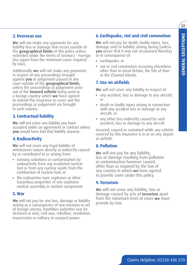$\overline{30}$ 

#### **2.Overseas use**

**We** will not make any payments for any liability loss or damage that occurs outside of the **geographical limits** of this policy unless extended under the terms of Section J - Foreign Use (apart from the minimum cover required by law).

Additionally **we** will not make any payments in respect of any proceedings brought against **you** or judgement passed in any court outside of the **geographical limits**, unless the proceedings or judgement arise out of the **insured vehicle** being used in a foreign country which **we** have agreed to extend this insurance to cover and the proceedings or judgement are brought in such country.

## **3. Contractual liability**

**We** will not cover any liability you have accepted under an agreement or contract unless **you** would have had that liability anyway.

### **4.Radioactivity**

**We** will not cover any legal liability of whatsoever nature directly or indirectly caused by or contributed to or arising from:

- ionising radiations or contamination by radioactivity from any irradiated nuclear fuel or from any nuclear waste from the combustion of nuclear fuel; or
- the radioactive toxic explosive or other hazardous properties of any explosive nuclear assembly or nuclear component.

#### **5.War**

**We** will not pay for any loss, damage or liability arising as a consequence of war invasion or act of foreign enemy, hostilities (whether war be declared or not), civil war, rebellion, revolution, insurrection or military or usurped power.

### **6. Earthquake, riot and civil commotion**

**We** will not pay for death, bodily injury, loss, damage and/or liability arising during (unless **you** prove that it was not occasioned thereby) or in consequence of:

- earthquake; or
- riot or civil commotion occurring elsewhere other than in Great Britain, the Isle of Man or the Channel Islands.

### **7.Use on airfields**

**We** will not cover any liability in respect of:

- any accident, loss or damage to any aircraft; or
- death or bodily injury arising in connection with any accident loss or damage to any aircraft; or
- any other loss indirectly caused by such accident, loss or damage to any aircraft

incurred, caused or sustained while any vehicle covered by this insurance is in or on any airport or airfield.

### **8.Pollution**

**We** will not pay for any liability, loss or damage resulting from pollution or contamination however caused, other than as required by the law of any country in which **we** have agreed to provide cover under this policy.

### **9. Terrorism**

**We** will not cover any liability, loss or damage caused by acts of **terrorism** apart from the minimum level of cover **we** must provide by law.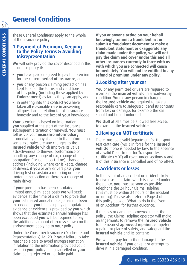## **General Conditions**

These General Conditions apply to the whole of the insurance policy.

#### **1.Payment of Premium, Keeping to the Policy Terms & Avoiding Misrepresentation**

**We** will only provide the cover described in this insurance policy if:

- **you** have paid or agreed to pay the premium for the current **period of insurance**, and
- **you** or any person claiming protection has kept to all of the terms and conditions of this policy (including those applied by **Endorsement**) as far as they can apply, and
- in entering into this contract **you** have taken all reasonable care in answering all questions in relation to this insurance honestly and to the best of **your** knowledge.

**Your** premium is based on information **you** supplied at the start of the insurance, subsequent alteration or renewal. **You** must tell us via your **insurance intermediary** immediately of any change to that information, some examples are any changes to the **insured vehicle** which improve its value, attractiveness to thieves, performance or handling, any change of car, change of occupation (including part-time), change of address (including where car is kept), change of drivers, if **you** or any drivers pass **your** driving test or sustain a motoring or nonmotoring conviction or there is a change of main driver.

If **your** premium has been calculated on a limited annual mileage basis **we** will seek evidence at the time of a claim to prove that **your** estimated annual mileage has not been exceeded. If **you** fail to supply appropriate evidence or evidence is provided by **you** which shows that the estimated annual mileage has been exceeded **you** will be required to pay the additional amount of **excess** shown on the endorsement applying to **your** policy.

Under the Consumer Insurance (Disclosure and Representations) Act 2012 **your** failure to take reasonable care to avoid misrepresentation in relation to the information provided could result in **your** policy being cancelled or **your** claim being rejected or not fully paid.

**If you or anyone acting on your behalf knowingly commit a fraudulent act or submit a fraudulent document or make a fraudulent statement or exaggerate any claim made under the policy, we will not pay the claim and cover under this and all other insurances currently in force with us with which you are connected will cease immediately. You will not be entitled to any refund of premium under any policy.**

## **2.Looking after your car**

**You** or any permitted drivers are required to maintain the **insured vehicle** in a roadworthy condition. **You** or any person in charge of the **insured vehicle** are required to take all reasonable care to safeguard it and its contents from loss or damage, for example the car should not be left unlocked.

**We** shall at all times be allowed free access to examine the **insured vehicle**.

## **3.Having an MOT certificate**

There must be a valid Department for Transport test certificate (MOT) in force for the **insured vehicle** if one is needed by law. In the absence of a valid Department for Transport test certificate (MOT) all cover under sections A and B of this insurance is cancelled and of no effect.

### **4.Accidents or losses**

In the event of an accident or incident likely to give rise to a claim which is covered under the policy, **you** must as soon as possible telephone the 24 hour Claims Helpline (this must be within 24 hours of the incident occurring). Please also refer to Page 4 of this policy booklet 'What to do in the Event of an Accident' for further guidance.

If the loss or damage is covered under the policy, the Claims Helpline operator will make arrangements to remove the **insured vehicle** to the nearest **approved repairer**, competent repairer or place of safety, and safeguard the **insured vehicle** and its contents.

**We** will not pay for further damage to the **insured vehicle** if **you** drive it or attempt to drive it in a damaged condition.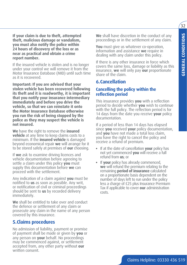$32$ 

**If your claim is due to theft, attempted theft, malicious damage or vandalism, you must also notify the police within 24 hours of discovery of the loss or as near as practical and obtain a crime report number.**

If the insured vehicle is stolen and is no longer under your control we will remove it from the Motor Insurance Database (MID) until such time as it is recovered.

**Important: If you are advised that your stolen vehicle has been recovered following its theft and it is roadworthy, it is important that you notify your insurance intermediary immediately and before you drive the vehicle, so that we can reinstate it onto the Motor Insurance Database otherwise you run the risk of being stopped by the police as they may suspect the vehicle is not insured.**

**We** have the right to remove the **insured vehicle** at any time to keep claims costs to a minimum. If the **insured vehicle** is damaged beyond economical repair **we** will arrange for it to be stored safely at premises of **our** choosing.

If **we** ask to examine driving licences and vehicle documentation before agreeing to settle a claim under this policy **you** must supply this documentation before **we** can proceed with the settlement.

Any indication of a claim against **you** must be notified to **us** as soon as possible. Any writ, or notification of civil or criminal proceedings should be sent to **us** by recorded delivery immediately.

**We** shall be entitled to take over and conduct the defence or settlement of any claim or prosecute any claim in the name of any person covered by this insurance.

### **5.Claims procedures**

No admission of liability, payment or promise of payment shall be made or given by **you** or any person on **your** behalf. No proceedings may be commenced against, or settlement accepted from, any other party without **our** written consent.

**We** shall have discretion in the conduct of any proceedings or in the settlement of any claim.

**You** must give us whatever co-operation, information and assistance **we** require in dealing with any claim under this policy.

If there is any other insurance in force which covers the same loss, damage or liability as this insurance, **we** will only pay **our** proportionate share of the claim.

### **6.Cancellation**

#### **Cancelling the policy within the reflection period**

This insurance provides **you** with a reflection period to decide whether **you** wish to continue with the full policy. The reflection period is for 14 days from the date you receive **your** policy documentation.

If a period of less than 14 days has elapsed since **you** received **your** policy documentation, and **you** have not made a total loss claim, you have the right to cancel the policy and receive a refund of premium.

- If at the date of cancellation **your** policy has not yet commenced **you** will receive a full refund from **us**; or
- If **your** policy has already commenced, **we** will refund the premium relating to the remaining **period of insurance** calculated on a proportionate basis dependent on the number of days left to run under the policy less a charge of £25 plus Insurance Premium Tax if applicable to cover **our** administration costs.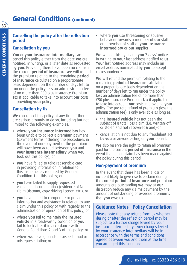## **General Conditions (continued)**

#### **Cancelling the policy after the reflection period**

#### **Cancellation by you**

**You** or **your Insurance Intermediary** can cancel this policy either from the date **we** are notified, in writing, or a later date as requested by **you**. Providing there have been no claims in the current **period of insurance we** will refund the premium relating to the remaining **period of insurance** calculated on a proportionate basis dependent on the number of days left to run under the policy less an administration fee of no more than £50 plus Insurance Premium Tax if applicable to take into account **our** costs in providing **your** policy.

### **Cancellation by Us**

**We** can cancel this policy at any time if there are serious grounds to do so, including but not limited to the following examples:

- where **your insurance intermediary** has been unable to collect a premium payment (payment terms including the procedures in the event of non-payment of the premium will have been agreed between **you** and **your insurance intermediary** when **you** took out this policy); or
- **you** have failed to take reasonable care in providing information in relation to this insurance as required by General Condition 1 of this policy; or
- **you** have failed to supply requested validation documentation (evidence of No Claim Discount, copy driving licence, etc.); or
- **you** have failed to co-operate or provide information and assistance in relation to any claim under this policy or with regards to the administration or operation of this policy; or
- where **you** fail to maintain the **insured vehicle** in a roadworthy condition or **you** fail to look after it in accordance with General Conditions 2 and 3 of this policy; or
- where **we** have grounds to suspect fraud or misrepresentation; or

• where **you** use threatening or abusive behaviour towards a member of **our** staff or a member of staff of **your insurance intermediary** or **our** supplier.

**We** will do this by giving **you** 7 days' notice in writing to **your** last address notified to **us**. **Your** last notified address may include an email address nominated by **you** to accept correspondence.

**We** will refund the premium relating to the remaining **period of insurance** calculated on a proportionate basis dependent on the number of days left to run under the policy less an administration fee of no more than £50 plus Insurance Premium Tax if applicable to take into account **our** costs in providing **your** policy. The pro rata refund of premium (less the administration fee) is only available as long as:

- the **insured vehicle** has not been the subject of a total loss claim (i.e. written-off or stolen and not recovered); and/or
- cancellation is not due to any fraudulent act by **you** or anyone acting on **your** behalf.

**We** also reserve the right to retain all premium paid for the current **period of insurance** in the event that a fault claim has been made against the policy during this period.

### **Non-payment of premium**

In the event that there has been a loss or incident likely to give rise to a claim during the current **period of insurance** and premium amounts are outstanding **we** may at **our** discretion reduce any claims payment by the amount of outstanding or overdue premiums that **you** owe **us**.

### **Guidance Notes - Policy Cancellation**

Please note that any refund from us whether during or after the reflection period may be subject to a further charge levied by your insurance intermediary. Any charges levied by your insurance intermediary will be in accordance with the terms and conditions agreed between you and them at the time you arranged this insurance.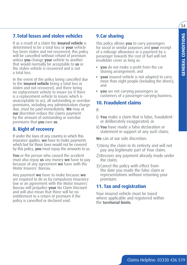$34$ 

## **7.Total losses and stolen vehicles**

If as a result of a claim the **insured vehicle** is determined to be a total loss or **your** vehicle has been stolen and not recovered, this policy will be cancelled without refund of premium unless **you** change **your** vehicle to another that would normally be acceptable to **us** or the stolen vehicle is recovered and is not a total loss.

In the event of the policy being cancelled due to the **insured vehicle** being a total loss or stolen and not recovered, and there being no replacement vehicle to insure (or if there is a replacement vehicle to insure which is unacceptable to us), all outstanding or overdue premiums, including any administration charge due, must be paid immediately. **We** may at **our** discretion reduce the claims payment by the amount of outstanding or overdue premiums that **you** owe **us**.

## **8. Right of recovery**

If under the laws of any country in which this insurance applies, **we** have to make payments which but for those laws would not be covered by this policy, **you** must repay the amounts to us.

**You** or the person who caused the accident must also repay **us** any money **we** have to pay because of any agreement **we** have with the Motor Insurers' Bureau.

Any payment **we** have to make because **we** are required to do so by compulsory insurance law or an agreement with the Motor Insurers' Bureau will prejudice **your** No Claim Discount and will also mean that there will be no entitlement to a return of premium if the policy is cancelled or declared void.

## **9.Car sharing**

This policy allows **you** to carry passengers for social or similar purposes and **your** receipt of a mileage allowance or a payment by a passenger towards the cost of fuel will not invalidate cover as long as:

- **you** do not make a profit from the car sharing arrangement; and
- **your** insured vehicle is not adapted to carry more than eight people (including the driver); and
- **you** are not carrying passengers as customers of a passenger-carrying business.

## **10. Fraudulent claims**

If:

- i) **You** make a claim that is false, fraudulent or deliberately exaggerated; or
- ii) **You** have made a false declaration or statement in support of any such claim;

**We** can at our sole discretion:

- 1)Deny the claim in its entirety and will not pay any legitimate part of Your claim;
- 2)Recover any payment already made under the claim;
- 3)Cancel the policy with effect from the date you made the false claim or representations without returning your premium.

## **11. Tax and registration**

Your insured vehicle must be taxed where applicable and registered within the **territorial limits**.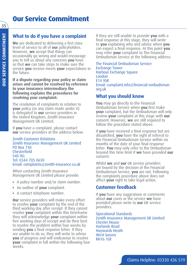## **Our Service Commitment**

## **What to do if you have a complaint**

**We** are dedicated to delivering a first class level of service to all of **our** policyholders. However, **we** accept that things can occasionally go wrong and would encourage you to tell us about any concerns **you** have so that **we** can take steps to make sure the service **you** receive meets **your** expectations in the future.

**If a dispute regarding your policy or claim arises and cannot be resolved by reference to your insurance intermediary the following explains the procedures for resolving your complaint:**

The resolution of complaints in relation to **your** policy (or any claim made under it) is delegated to **our** service providers in the United Kingdom, Zenith Insurance Management UK Limited.

If **you** have a complaint, please contact **our** service providers at the address below:

Zenith Customer Relations Zenith Insurance Management UK Limited PO Box 730 Chesterfield S40 9LL Tel: 0344 705 0630 Email: complaints@zenith-insurance.co.uk

When contacting Zenith Insurance Management UK Limited please provide:

- A policy number and/or claim number.
- An outline of **your** complaint.
- A contact telephone number.

**Our** service providers will make every effort to resolve **your** complaint by the end of the third working day after receipt. If they cannot resolve **your** complaint within this timeframe they will acknowledge **your** complaint within five working days of receipt and do their best to resolve the problem within four weeks by sending **you** a final response letter. If they are unable to do so, they will write to advise **you** of progress and will endeavour to resolve **your** complaint in full within the following four weeks.

If they are still unable to provide **you** with a final response at this stage, they will write to **you** explaining why and advise when **you** can expect a final response. At this point **you** may refer **your** complaint to The Financial Ombudsman Service at the following address:

The Financial Ombudsman Service Exchange Tower Harbour Exchange Square London E14 9SR Email: complaint.info@financial-ombudsman. org.uk

### **What you should know**

**You** may go directly to the Financial Ombudsman Service when **you** first make **your** complaint, but the Ombudsman will only review **your** complaint at this stage with **our** consent. However, **we** are still required to follow the procedure stated above.

If **you** have received a final response but are dissatisfied, **you** have the right of referral to the Financial Ombudsman Service within six months of the date of your final response letter. **You** may only refer to the Ombudsman beyond this time limit if **we** have provided **our** consent.

Whilst **we** and **our** UK service providers are bound by the decision of the Financial Ombudsman Service, **you** are not. Following the complaints procedure above does not affect **your** right to take legal action.

### **Customer feedback**

If **you** have any suggestions or comments about **our** cover or the service **we** have provided please write to **our** UK service providers:

Operational Standards Zenith Insurance Management UK Limited Chester House Harlands Road Haywards Heath West Sussex **RH16 1LR**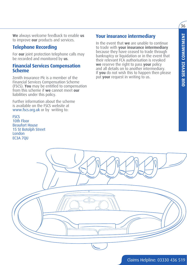$36$ 

**We** always welcome feedback to enable **us** to improve **our** products and services.

## **Telephone Recording**

For **our** joint protection telephone calls may be recorded and monitored by **us**.

#### **Financial Services Compensation Scheme**

Zenith Insurance Plc is a member of the Financial Services Compensation Scheme (FSCS). **You** may be entitled to compensation from this scheme if **we** cannot meet **our** liabilities under this policy.

Further information about the scheme is available on the FSCS website at www.fscs.org.uk or by writing to:

**FSCS** 10th Floor Beaufort House 15 St Botolph Street London EC3A 7QU

## **Your insurance intermediary**

In the event that **we** are unable to continue to trade with **your insurance intermediary** because they have ceased to trade through bankruptcy or liquidation or in the event that their relevant FCA authorisation is revoked **we** reserve the right to pass **your** policy and all details on to another intermediary. If **you** do not wish this to happen then please put **your** request in writing to us.

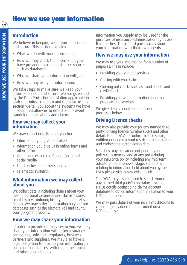## **How we use your information**

## **Introduction**

We believe in keeping your information safe and secure. This section explains:

- What we do with your information
- How we may check the information you have provided to us against other sources such as databases
- Who we share your information with, and
- How we may use your information.

We take steps to make sure we keep your information safe and secure. We are governed by the Data Protection legislation applicable in both the United Kingdom and Gibraltar. In this section we tell you about the systems we have in place that allow us to detect and prevent fraudulent applications and claims.

#### **How we may collect your information**

We may collect details about you from

- Information you give to brokers
- Information you give us in online forms and other forms
- Other sources such as Google Earth and social media
- Third parties and other sources
- Telematics systems.

### **What information we may collect about you**

We collect details including details about your health, personal circumstances, claims history, credit history, motoring history and other relevant details. We may collect information on you from databases such as the electoral roll and county court judgment records.

### **How we may share your information**

In order to provide our services to you, we may share your information with other insurance companies, solicitors, regulators, business partners and suppliers. We may also have a legal obligation to provide your information, in certain circumstances, with regulators, police and other public bodies.

Information you supply may be used for the purposes of insurance administration by us and third parties. These third parties may share your information with their own agents.

### **How we may use your information**

We may use your information for a number of purposes. These include:

- Providing you with our services
- Dealing with your claim
- Carrying out checks such as fraud checks and credit checks
- Providing you with information about our products and services.

We give details about some of these processes below.

## **Driving Licence checks**

We may also provide your (or any named third party) driving licence number (DLN) and other details to the DVLA to confirm licence status, entitlement and relevant restriction information and endorsement/conviction data.

Searches may be carried out prior to your policy commencing and at any point during your insurance policy including any mid-term adjustment and renewal stage. For details relating to information held about you by the DVLA please visit www.dvla.gov.uk.

The DVLA may also be used to search your (or any named third party's) no claims discount (NCD) details against a no claims discount database to obtain information in relation to your NCD entitlement.

We may pass details of your no claims discount to certain organisations to be recorded on a NCD database.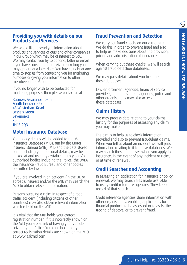#### **Providing you with details on our Products and Services**

We would like to send you information about products and services of ours and other companies in our Group which may be of interest to you. We may contact you by telephone, letter or email. If you have consented to receive marketing you may opt out at a later date. You have a right at any time to stop us from contacting you for marketing purposes or giving your information to other members of the Group.

If you no longer wish to be contacted for marketing purposes then please contact us at

Business Assurance Team Zenith Insurance Plc 45 Westerham Road Bessels Green Sevenoaks Kent TN13 2QB

#### **Motor Insurance Database**

Your policy details will be added to the Motor Insurance Database (MID), run by the Motor Insurers' Bureau (MIB). MID and the data stored on it, including your personal details, may be looked at and used by certain statutory and/or authorised bodies including the Police, the DVLA, the Insurance Fraud Bureau and other bodies permitted by law.

If you are involved in an accident (in the UK or abroad), insurers and/or the MIB may search the MID to obtain relevant information.

Persons pursuing a claim in respect of a road traffic accident (including citizens of other countries) may also obtain relevant information which is held on the MID.

It is vital that the MID holds your correct registration number. If it is incorrectly shown on the MID you are at risk of having your vehicle seized by the Police. You can check that your correct registration details are shown on the MID at www.askmid.com

### **Fraud Prevention and Detection**

We carry out fraud checks on our customers. We do this in order to prevent fraud and also to help us make decisions about the provision, pricing and administration of insurance.

When carrying out these checks, we will search against fraud detection databases.

We may pass details about you to some of these databases.

Law enforcement agencies, financial service providers, fraud prevention agencies, police and other organisations may also access these databases.

#### **Claims History**

We may process data relating to your claims history for the purposes of assessing any claim you may make.

The aim is to help us to check information provided and also to prevent fraudulent claims. When you tell us about an incident we will pass information relating to it to these databases. We may search these databases when you apply for insurance, in the event of any incident or claim, or at time of renewal.

### **Credit Searches and Accounting**

In assessing an application for insurance or policy renewal, we may search files made available to us by credit reference agencies. They keep a record of that search.

Credit reference agencies share information with other organisations, enabling applications for financial products to be assessed or to assist the tracing of debtors, or to prevent fraud.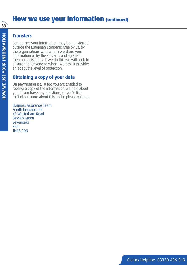## **How we use your information (continued)**

39

## **Transfers**

Sometimes your information may be transferred outside the European Economic Area by us, by the organisations with whom we share your information or by the servants and agents of these organisations. If we do this we will seek to ensure that anyone to whom we pass it provides an adequate level of protection.

## **Obtaining a copy of your data**

On payment of a £10 fee you are entitled to receive a copy of the information we hold about you. If you have any questions, or you'd like to find out more about this notice please write to

Business Assurance Team Zenith Insurance Plc 45 Westerham Road Bessels Green Sevenoaks Kent TN13 2QB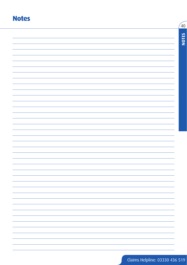## **Notes**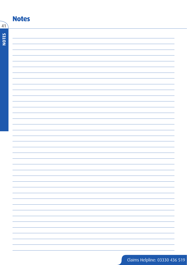|              | <b>Notes</b> |
|--------------|--------------|
| 41           |              |
|              |              |
| <b>NOTES</b> |              |
|              |              |
|              |              |
|              |              |
|              |              |
|              |              |
|              |              |
|              |              |
|              |              |
|              |              |
|              |              |
|              |              |
|              |              |
|              |              |
|              |              |
|              |              |
|              |              |
|              |              |
|              |              |
|              |              |
|              |              |
|              |              |
|              |              |
|              |              |
|              |              |
|              |              |
|              |              |
|              |              |
|              |              |
|              |              |
|              |              |
|              |              |
|              |              |
|              |              |
|              |              |
|              |              |
|              |              |
|              |              |
|              |              |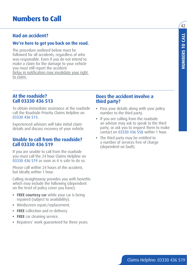## **Had an accident?**

#### **We're here to get you back on the road.**

The procedure outlined below must be followed for all accidents, regardless of who was responsible. Even if you do not intend to make a claim for the damage to your vehicle you must still report the accident. Delay in notification may invalidate your right to claim.

### **At the roadside? Call 03330 436 513**

To obtain immediate assistance at the roadside call the Roadside Priority Claims Helpline on 03330 436 513.

Experienced advisors will take initial claim details and discuss recovery of your vehicle.

#### **Unable to call from the roadside? Call 03330 436 519**

If you are unable to call from the roadside you must call the 24 hour Claims Helpline on 03330 436 519 as soon as it is safe to do so.

Please call within 24 hours of the accident, but ideally within 1 hour.

Calling straightaway provides you with benefits which may include the following (dependent on the level of policy cover you have):

- **FREE courtesy car** while your car is being repaired (subject to availability).
- Windscreen repair/replacement.
- **FREE** collection and re-delivery.
- **FREE** car cleaning service.
- Repairers' work guaranteed for three years.

### **Does the accident involve a third party?**

- Pass your details along with your policy number to the third party.
- If you are calling from the roadside an advisor may ask to speak to the third party, or ask you to request them to make contact on 03330 436 558 within 1 hour.
- The third party may be entitled to a number of services free of charge (dependent on fault).